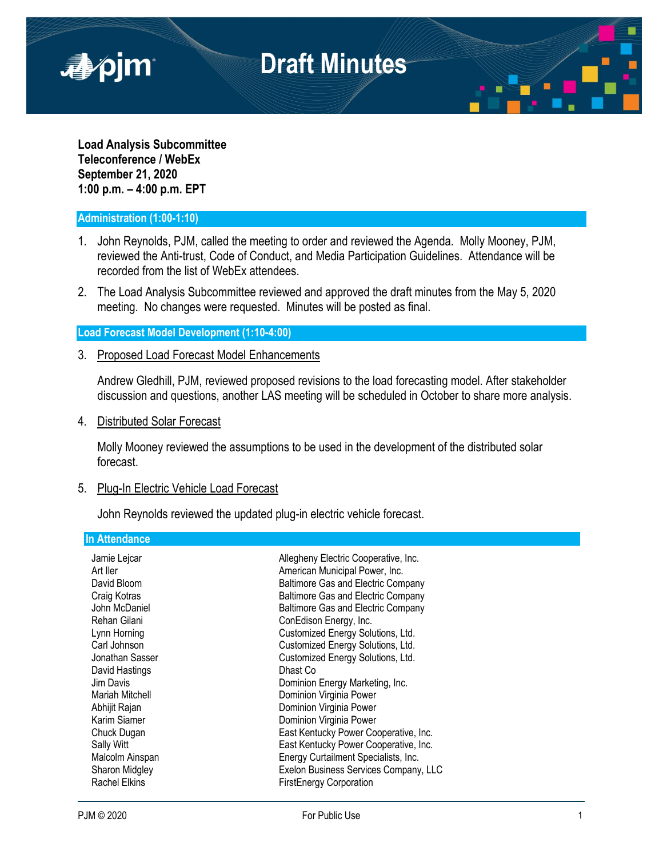

**Load Analysis Subcommittee Teleconference / WebEx September 21, 2020 1:00 p.m. – 4:00 p.m. EPT**

## **Administration (1:00-1:10)**

- 1. John Reynolds, PJM, called the meeting to order and reviewed the Agenda. Molly Mooney, PJM, reviewed the Anti-trust, Code of Conduct, and Media Participation Guidelines. Attendance will be recorded from the list of WebEx attendees.
- 2. The Load Analysis Subcommittee reviewed and approved the draft minutes from the May 5, 2020 meeting. No changes were requested. Minutes will be posted as final.

**Load Forecast Model Development (1:10-4:00)**

3. Proposed Load Forecast Model Enhancements

Andrew Gledhill, PJM, reviewed proposed revisions to the load forecasting model. After stakeholder discussion and questions, another LAS meeting will be scheduled in October to share more analysis.

4. Distributed Solar Forecast

Molly Mooney reviewed the assumptions to be used in the development of the distributed solar forecast.

## 5. Plug-In Electric Vehicle Load Forecast

John Reynolds reviewed the updated plug-in electric vehicle forecast.

## **In Attendance**

| Jamie Lejcar         | Allegheny Electric Cooperative, Inc.      |
|----------------------|-------------------------------------------|
| Art ller             | American Municipal Power, Inc.            |
| David Bloom          | <b>Baltimore Gas and Electric Company</b> |
| Craig Kotras         | Baltimore Gas and Electric Company        |
| John McDaniel        | Baltimore Gas and Electric Company        |
| Rehan Gilani         | ConEdison Energy, Inc.                    |
| Lynn Horning         | Customized Energy Solutions, Ltd.         |
| Carl Johnson         | Customized Energy Solutions, Ltd.         |
| Jonathan Sasser      | Customized Energy Solutions, Ltd.         |
| David Hastings       | Dhast Co                                  |
| Jim Davis            | Dominion Energy Marketing, Inc.           |
| Mariah Mitchell      | Dominion Virginia Power                   |
| Abhijit Rajan        | Dominion Virginia Power                   |
| Karim Siamer         | Dominion Virginia Power                   |
| Chuck Dugan          | East Kentucky Power Cooperative, Inc.     |
| Sally Witt           | East Kentucky Power Cooperative, Inc.     |
| Malcolm Ainspan      | Energy Curtailment Specialists, Inc.      |
| Sharon Midgley       | Exelon Business Services Company, LLC     |
| <b>Rachel Elkins</b> | <b>FirstEnergy Corporation</b>            |